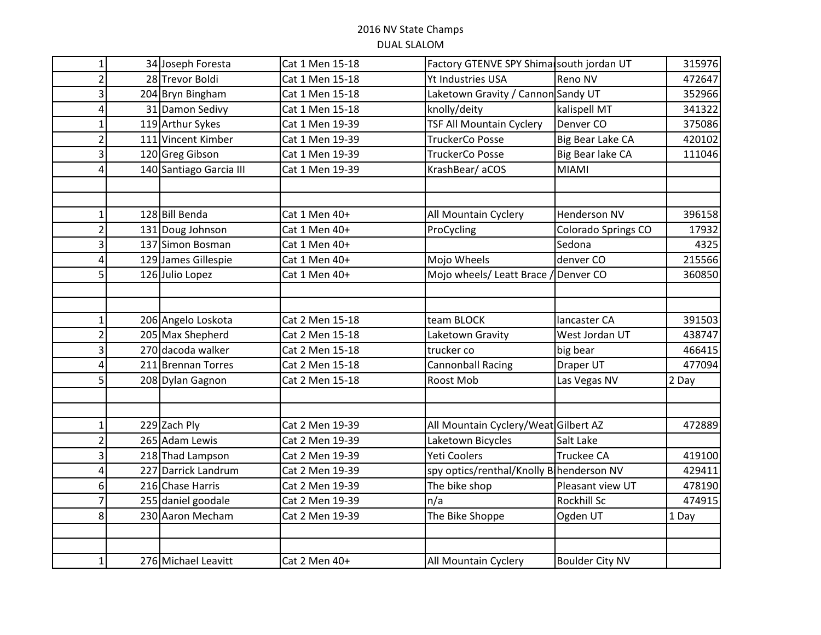## 2016 NV State Champs DUAL SLALOM

| 1              | 34 Joseph Foresta       | Cat 1 Men 15-18 | Factory GTENVE SPY Shimal south jordan UT               |                         | 315976 |
|----------------|-------------------------|-----------------|---------------------------------------------------------|-------------------------|--------|
| 2              | 28 Trevor Boldi         | Cat 1 Men 15-18 | Yt Industries USA<br>Reno NV                            |                         | 472647 |
| 3              | 204 Bryn Bingham        | Cat 1 Men 15-18 | Laketown Gravity / Cannon Sandy UT                      |                         | 352966 |
| 4              | 31 Damon Sedivy         | Cat 1 Men 15-18 | kalispell MT<br>knolly/deity                            |                         | 341322 |
| 1              | 119 Arthur Sykes        | Cat 1 Men 19-39 | <b>TSF All Mountain Cyclery</b><br>Denver <sub>CO</sub> |                         | 375086 |
| 2              | 111 Vincent Kimber      | Cat 1 Men 19-39 | <b>TruckerCo Posse</b>                                  | <b>Big Bear Lake CA</b> | 420102 |
| 3              | 120 Greg Gibson         | Cat 1 Men 19-39 | <b>TruckerCo Posse</b>                                  | Big Bear lake CA        | 111046 |
| $\overline{4}$ | 140 Santiago Garcia III | Cat 1 Men 19-39 | KrashBear/aCOS                                          | <b>MIAMI</b>            |        |
|                |                         |                 |                                                         |                         |        |
|                |                         |                 |                                                         |                         |        |
| 1              | 128 Bill Benda          | Cat 1 Men 40+   | All Mountain Cyclery                                    | Henderson NV            | 396158 |
| 2              | 131 Doug Johnson        | Cat 1 Men 40+   | ProCycling                                              | Colorado Springs CO     | 17932  |
| 3              | 137 Simon Bosman        | Cat 1 Men 40+   |                                                         | Sedona                  | 4325   |
| 4              | 129 James Gillespie     | Cat 1 Men 40+   | Mojo Wheels                                             | denver CO               | 215566 |
| 5              | 126 Julio Lopez         | Cat 1 Men 40+   | Mojo wheels/ Leatt Brace / Denver CO                    |                         | 360850 |
|                |                         |                 |                                                         |                         |        |
|                |                         |                 |                                                         |                         |        |
| 1              | 206 Angelo Loskota      | Cat 2 Men 15-18 | team BLOCK                                              | lancaster CA            | 391503 |
| $\overline{2}$ | 205 Max Shepherd        | Cat 2 Men 15-18 | Laketown Gravity                                        | West Jordan UT          | 438747 |
| 3              | 270 dacoda walker       | Cat 2 Men 15-18 | trucker co                                              | big bear                | 466415 |
| 4              | 211 Brennan Torres      | Cat 2 Men 15-18 | <b>Cannonball Racing</b>                                | Draper UT               | 477094 |
| 5              | 208 Dylan Gagnon        | Cat 2 Men 15-18 | Roost Mob                                               | Las Vegas NV            | 2 Day  |
|                |                         |                 |                                                         |                         |        |
|                |                         |                 |                                                         |                         |        |
| 1              | 229 Zach Ply            | Cat 2 Men 19-39 | All Mountain Cyclery/Weat Gilbert AZ                    |                         | 472889 |
| 2              | 265 Adam Lewis          | Cat 2 Men 19-39 | Laketown Bicycles                                       | Salt Lake               |        |
| 3              | 218 Thad Lampson        | Cat 2 Men 19-39 | <b>Yeti Coolers</b>                                     | <b>Truckee CA</b>       | 419100 |
| 4              | 227 Darrick Landrum     | Cat 2 Men 19-39 | spy optics/renthal/Knolly B henderson NV                |                         | 429411 |
| 6              | 216 Chase Harris        | Cat 2 Men 19-39 | The bike shop                                           | Pleasant view UT        | 478190 |
| 7              | 255 daniel goodale      | Cat 2 Men 19-39 | n/a                                                     | Rockhill Sc             | 474915 |
| 8              | 230 Aaron Mecham        | Cat 2 Men 19-39 | The Bike Shoppe                                         | Ogden UT                | 1 Day  |
|                |                         |                 |                                                         |                         |        |
|                |                         |                 |                                                         |                         |        |
| 1              | 276 Michael Leavitt     | Cat 2 Men 40+   | All Mountain Cyclery                                    | <b>Boulder City NV</b>  |        |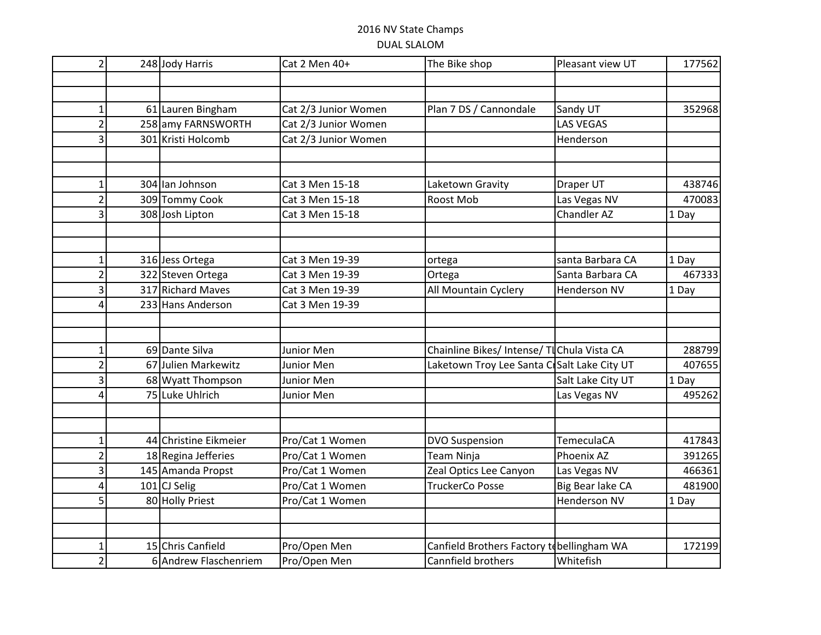## 2016 NV State Champs DUAL SLALOM

| $\overline{2}$           | 248 Jody Harris       | Cat 2 Men 40+        | The Bike shop                               | Pleasant view UT    | 177562 |
|--------------------------|-----------------------|----------------------|---------------------------------------------|---------------------|--------|
|                          |                       |                      |                                             |                     |        |
|                          |                       |                      |                                             |                     |        |
| $\mathbf{1}$             | 61 Lauren Bingham     | Cat 2/3 Junior Women | Plan 7 DS / Cannondale                      | Sandy UT            | 352968 |
| $\overline{2}$           | 258 amy FARNSWORTH    | Cat 2/3 Junior Women |                                             | <b>LAS VEGAS</b>    |        |
| 3                        | 301 Kristi Holcomb    | Cat 2/3 Junior Women |                                             | Henderson           |        |
|                          |                       |                      |                                             |                     |        |
|                          |                       |                      |                                             |                     |        |
| -1                       | 304 Ian Johnson       | Cat 3 Men 15-18      | Laketown Gravity                            | Draper UT           | 438746 |
| $\overline{2}$           | 309 Tommy Cook        | Cat 3 Men 15-18      | Roost Mob                                   | Las Vegas NV        | 470083 |
|                          | 308 Josh Lipton       | Cat 3 Men 15-18      |                                             | Chandler AZ         | 1 Day  |
|                          |                       |                      |                                             |                     |        |
|                          |                       |                      |                                             |                     |        |
| 1                        | 316 Jess Ortega       | Cat 3 Men 19-39      | ortega                                      | santa Barbara CA    | 1 Day  |
| $\overline{2}$           | 322 Steven Ortega     | Cat 3 Men 19-39      | Ortega                                      | Santa Barbara CA    | 467333 |
| $\overline{3}$           | 317 Richard Maves     | Cat 3 Men 19-39      | All Mountain Cyclery                        | <b>Henderson NV</b> | 1 Day  |
| Δ                        | 233 Hans Anderson     | Cat 3 Men 19-39      |                                             |                     |        |
|                          |                       |                      |                                             |                     |        |
|                          |                       |                      |                                             |                     |        |
| $\mathbf{1}$             | 69 Dante Silva        | Junior Men           | Chainline Bikes/ Intense/ TIChula Vista CA  |                     | 288799 |
|                          | 67 Julien Markewitz   | Junior Men           | Laketown Troy Lee Santa CrSalt Lake City UT |                     | 407655 |
| $\overline{3}$           | 68 Wyatt Thompson     | Junior Men           |                                             | Salt Lake City UT   | 1 Day  |
| л                        | 75 Luke Uhlrich       | Junior Men           |                                             | Las Vegas NV        | 495262 |
|                          |                       |                      |                                             |                     |        |
|                          |                       |                      |                                             |                     |        |
| 1                        | 44 Christine Eikmeier | Pro/Cat 1 Women      | <b>DVO Suspension</b>                       | <b>TemeculaCA</b>   | 417843 |
| $\overline{2}$           | 18 Regina Jefferies   | Pro/Cat 1 Women      | Team Ninja                                  | Phoenix AZ          | 391265 |
| 3                        | 145 Amanda Propst     | Pro/Cat 1 Women      | Zeal Optics Lee Canyon                      | Las Vegas NV        | 466361 |
| 4                        | 101 CJ Selig          | Pro/Cat 1 Women      | <b>TruckerCo Posse</b>                      | Big Bear lake CA    | 481900 |
| 5                        | 80 Holly Priest       | Pro/Cat 1 Women      |                                             | Henderson NV        | 1 Day  |
|                          |                       |                      |                                             |                     |        |
|                          |                       |                      |                                             |                     |        |
| $\overline{\phantom{a}}$ | 15 Chris Canfield     | Pro/Open Men         | Canfield Brothers Factory to bellingham WA  |                     | 172199 |
| 2                        | 6 Andrew Flaschenriem | Pro/Open Men         | Cannfield brothers                          | Whitefish           |        |